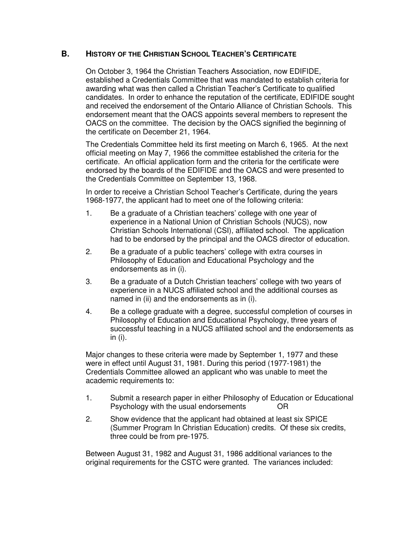## **B. HISTORY OF THE CHRISTIAN SCHOOL TEACHER'S CERTIFICATE**

On October 3, 1964 the Christian Teachers Association, now EDIFIDE, established a Credentials Committee that was mandated to establish criteria for awarding what was then called a Christian Teacher's Certificate to qualified candidates. In order to enhance the reputation of the certificate, EDIFIDE sought and received the endorsement of the Ontario Alliance of Christian Schools. This endorsement meant that the OACS appoints several members to represent the OACS on the committee. The decision by the OACS signified the beginning of the certificate on December 21, 1964.

The Credentials Committee held its first meeting on March 6, 1965. At the next official meeting on May 7, 1966 the committee established the criteria for the certificate. An official application form and the criteria for the certificate were endorsed by the boards of the EDIFIDE and the OACS and were presented to the Credentials Committee on September 13, 1968.

In order to receive a Christian School Teacher's Certificate, during the years 1968-1977, the applicant had to meet one of the following criteria:

- 1. Be a graduate of a Christian teachers' college with one year of experience in a National Union of Christian Schools (NUCS), now Christian Schools International (CSI), affiliated school. The application had to be endorsed by the principal and the OACS director of education.
- 2. Be a graduate of a public teachers' college with extra courses in Philosophy of Education and Educational Psychology and the endorsements as in (i).
- 3. Be a graduate of a Dutch Christian teachers' college with two years of experience in a NUCS affiliated school and the additional courses as named in (ii) and the endorsements as in (i).
- 4. Be a college graduate with a degree, successful completion of courses in Philosophy of Education and Educational Psychology, three years of successful teaching in a NUCS affiliated school and the endorsements as in (i).

Major changes to these criteria were made by September 1, 1977 and these were in effect until August 31, 1981. During this period (1977-1981) the Credentials Committee allowed an applicant who was unable to meet the academic requirements to:

- 1. Submit a research paper in either Philosophy of Education or Educational Psychology with the usual endorsements OR
- 2. Show evidence that the applicant had obtained at least six SPICE (Summer Program In Christian Education) credits. Of these six credits, three could be from pre-1975.

Between August 31, 1982 and August 31, 1986 additional variances to the original requirements for the CSTC were granted. The variances included: